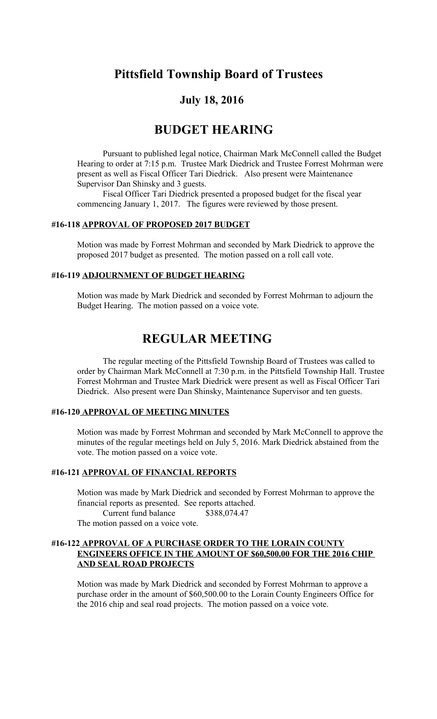# **Pittsfield Township Board of Trustees**

## **July 18, 2016**

# **BUDGET HEARING**

Pursuant to published legal notice, Chairman Mark McConnell called the Budget Hearing to order at 7:15 p.m. Trustee Mark Diedrick and Trustee Forrest Mohrman were present as well as Fiscal Officer Tari Diedrick. Also present were Maintenance Supervisor Dan Shinsky and 3 guests.

Fiscal Officer Tari Diedrick presented a proposed budget for the fiscal year commencing January 1, 2017. The figures were reviewed by those present.

#### **#16-118 APPROVAL OF PROPOSED 2017 BUDGET**

Motion was made by Forrest Mohrman and seconded by Mark Diedrick to approve the proposed 2017 budget as presented. The motion passed on a roll call vote.

#### **#16-119 ADJOURNMENT OF BUDGET HEARING**

Motion was made by Mark Diedrick and seconded by Forrest Mohrman to adjourn the Budget Hearing. The motion passed on a voice vote.

# **REGULAR MEETING**

The regular meeting of the Pittsfield Township Board of Trustees was called to order by Chairman Mark McConnell at 7:30 p.m. in the Pittsfield Township Hall. Trustee Forrest Mohrman and Trustee Mark Diedrick were present as well as Fiscal Officer Tari Diedrick. Also present were Dan Shinsky, Maintenance Supervisor and ten guests.

#### **#16-120 APPROVAL OF MEETING MINUTES**

Motion was made by Forrest Mohrman and seconded by Mark McConnell to approve the minutes of the regular meetings held on July 5, 2016. Mark Diedrick abstained from the vote. The motion passed on a voice vote.

#### **#16-121 APPROVAL OF FINANCIAL REPORTS**

Motion was made by Mark Diedrick and seconded by Forrest Mohrman to approve the financial reports as presented. See reports attached.

Current fund balance \$388,074.47 The motion passed on a voice vote.

#### **#16-122 APPROVAL OF A PURCHASE ORDER TO THE LORAIN COUNTY ENGINEERS OFFICE IN THE AMOUNT OF \$60,500.00 FOR THE 2016 CHIP AND SEAL ROAD PROJECTS**

Motion was made by Mark Diedrick and seconded by Forrest Mohrman to approve a purchase order in the amount of \$60,500.00 to the Lorain County Engineers Office for the 2016 chip and seal road projects. The motion passed on a voice vote.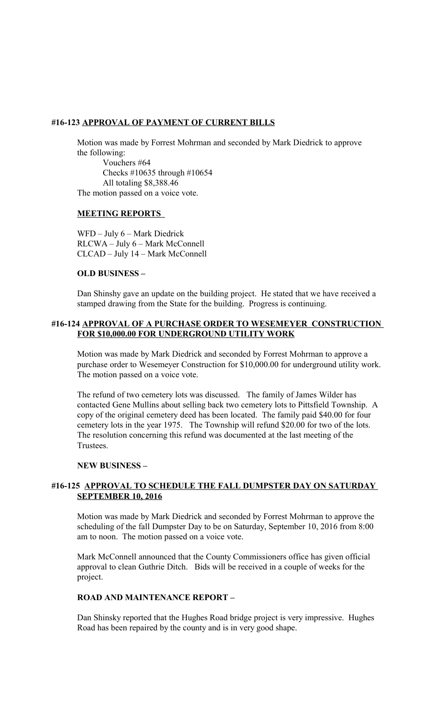#### **#16-123 APPROVAL OF PAYMENT OF CURRENT BILLS**

Motion was made by Forrest Mohrman and seconded by Mark Diedrick to approve the following:

 Vouchers #64 Checks #10635 through #10654 All totaling \$8,388.46 The motion passed on a voice vote.

#### **MEETING REPORTS**

WFD – July 6 – Mark Diedrick RLCWA – July 6 – Mark McConnell CLCAD – July 14 – Mark McConnell

#### **OLD BUSINESS –**

Dan Shinshy gave an update on the building project. He stated that we have received a stamped drawing from the State for the building. Progress is continuing.

#### **#16-124 APPROVAL OF A PURCHASE ORDER TO WESEMEYER CONSTRUCTION FOR \$10,000.00 FOR UNDERGROUND UTILITY WORK**

Motion was made by Mark Diedrick and seconded by Forrest Mohrman to approve a purchase order to Wesemeyer Construction for \$10,000.00 for underground utility work. The motion passed on a voice vote.

The refund of two cemetery lots was discussed. The family of James Wilder has contacted Gene Mullins about selling back two cemetery lots to Pittsfield Township. A copy of the original cemetery deed has been located. The family paid \$40.00 for four cemetery lots in the year 1975. The Township will refund \$20.00 for two of the lots. The resolution concerning this refund was documented at the last meeting of the Trustees.

#### **NEW BUSINESS –**

### **#16-125 APPROVAL TO SCHEDULE THE FALL DUMPSTER DAY ON SATURDAY SEPTEMBER 10, 2016**

Motion was made by Mark Diedrick and seconded by Forrest Mohrman to approve the scheduling of the fall Dumpster Day to be on Saturday, September 10, 2016 from 8:00 am to noon. The motion passed on a voice vote.

Mark McConnell announced that the County Commissioners office has given official approval to clean Guthrie Ditch. Bids will be received in a couple of weeks for the project.

#### **ROAD AND MAINTENANCE REPORT –**

Dan Shinsky reported that the Hughes Road bridge project is very impressive. Hughes Road has been repaired by the county and is in very good shape.